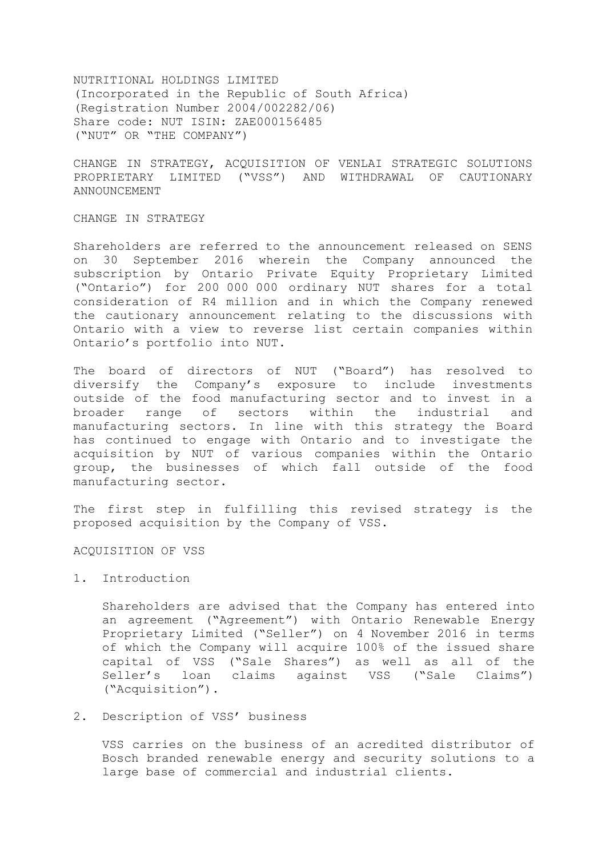NUTRITIONAL HOLDINGS LIMITED (Incorporated in the Republic of South Africa) (Registration Number 2004/002282/06) Share code: NUT ISIN: ZAE000156485 ("NUT" OR "THE COMPANY")

CHANGE IN STRATEGY, ACQUISITION OF VENLAI STRATEGIC SOLUTIONS PROPRIETARY LIMITED ("VSS") AND WITHDRAWAL OF CAUTIONARY ANNOUNCEMENT

## CHANGE IN STRATEGY

Shareholders are referred to the announcement released on SENS on 30 September 2016 wherein the Company announced the subscription by Ontario Private Equity Proprietary Limited ("Ontario") for 200 000 000 ordinary NUT shares for a total consideration of R4 million and in which the Company renewed the cautionary announcement relating to the discussions with Ontario with a view to reverse list certain companies within Ontario's portfolio into NUT.

The board of directors of NUT ("Board") has resolved to diversify the Company's exposure to include investments outside of the food manufacturing sector and to invest in a broader range of sectors within the industrial and manufacturing sectors. In line with this strategy the Board has continued to engage with Ontario and to investigate the acquisition by NUT of various companies within the Ontario group, the businesses of which fall outside of the food manufacturing sector.

The first step in fulfilling this revised strategy is the proposed acquisition by the Company of VSS.

#### ACQUISITION OF VSS

## 1. Introduction

Shareholders are advised that the Company has entered into an agreement ("Agreement") with Ontario Renewable Energy Proprietary Limited ("Seller") on 4 November 2016 in terms of which the Company will acquire 100% of the issued share capital of VSS ("Sale Shares") as well as all of the Seller's loan claims against VSS ("Sale Claims") ("Acquisition").

#### 2. Description of VSS' business

VSS carries on the business of an acredited distributor of Bosch branded renewable energy and security solutions to a large base of commercial and industrial clients.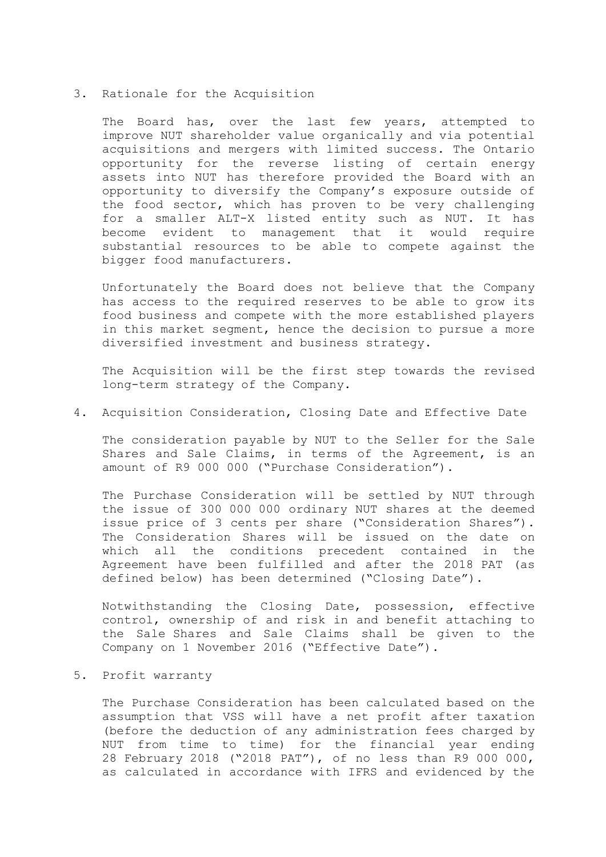#### 3. Rationale for the Acquisition

The Board has, over the last few years, attempted to improve NUT shareholder value organically and via potential acquisitions and mergers with limited success. The Ontario opportunity for the reverse listing of certain energy assets into NUT has therefore provided the Board with an opportunity to diversify the Company's exposure outside of the food sector, which has proven to be very challenging for a smaller ALT-X listed entity such as NUT. It has become evident to management that it would require substantial resources to be able to compete against the bigger food manufacturers.

Unfortunately the Board does not believe that the Company has access to the required reserves to be able to grow its food business and compete with the more established players in this market segment, hence the decision to pursue a more diversified investment and business strategy.

The Acquisition will be the first step towards the revised long-term strategy of the Company.

## 4. Acquisition Consideration, Closing Date and Effective Date

The consideration payable by NUT to the Seller for the Sale Shares and Sale Claims, in terms of the Agreement, is an amount of R9 000 000 ("Purchase Consideration").

The Purchase Consideration will be settled by NUT through the issue of 300 000 000 ordinary NUT shares at the deemed issue price of 3 cents per share ("Consideration Shares"). The Consideration Shares will be issued on the date on which all the conditions precedent contained in the Agreement have been fulfilled and after the 2018 PAT (as defined below) has been determined ("Closing Date").

Notwithstanding the Closing Date, possession, effective control, ownership of and risk in and benefit attaching to the Sale Shares and Sale Claims shall be given to the Company on 1 November 2016 ("Effective Date").

5. Profit warranty

The Purchase Consideration has been calculated based on the assumption that VSS will have a net profit after taxation (before the deduction of any administration fees charged by NUT from time to time) for the financial year ending 28 February 2018 ("2018 PAT"), of no less than R9 000 000, as calculated in accordance with IFRS and evidenced by the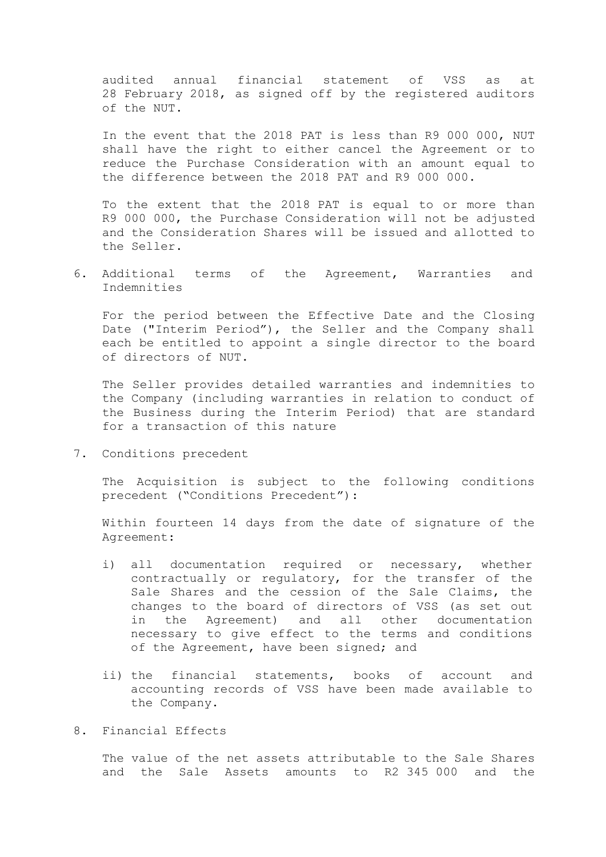audited annual financial statement of VSS as at 28 February 2018, as signed off by the registered auditors of the NUT.

In the event that the 2018 PAT is less than R9 000 000, NUT shall have the right to either cancel the Agreement or to reduce the Purchase Consideration with an amount equal to the difference between the 2018 PAT and R9 000 000.

To the extent that the 2018 PAT is equal to or more than R9 000 000, the Purchase Consideration will not be adjusted and the Consideration Shares will be issued and allotted to the Seller.

6. Additional terms of the Agreement, Warranties and Indemnities

For the period between the Effective Date and the Closing Date ("Interim Period"), the Seller and the Company shall each be entitled to appoint a single director to the board of directors of NUT.

The Seller provides detailed warranties and indemnities to the Company (including warranties in relation to conduct of the Business during the Interim Period) that are standard for a transaction of this nature

7. Conditions precedent

The Acquisition is subject to the following conditions precedent ("Conditions Precedent"):

Within fourteen 14 days from the date of signature of the Agreement:

- i) all documentation required or necessary, whether contractually or regulatory, for the transfer of the Sale Shares and the cession of the Sale Claims, the changes to the board of directors of VSS (as set out in the Agreement) and all other documentation necessary to give effect to the terms and conditions of the Agreement, have been signed; and
- ii) the financial statements, books of account and accounting records of VSS have been made available to the Company.

# 8. Financial Effects

The value of the net assets attributable to the Sale Shares and the Sale Assets amounts to R2 345 000 and the